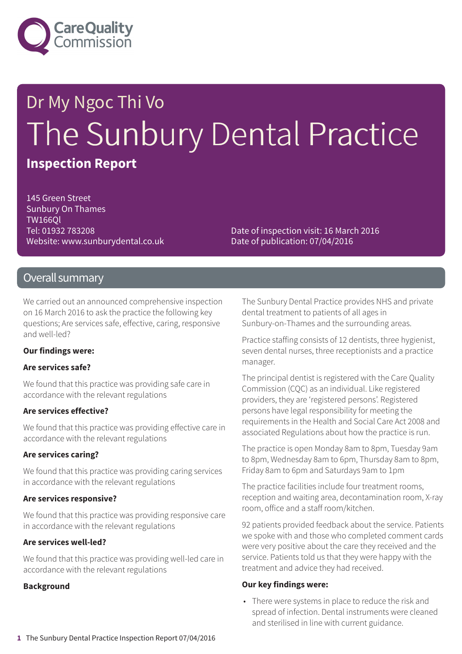

# Dr My Ngoc Thi Vo The Sunbury Dental Practice **Inspection Report**

145 Green Street Sunbury On Thames TW166Ql Tel: 01932 783208 Website: www.sunburydental.co.uk

Date of inspection visit: 16 March 2016 Date of publication: 07/04/2016

## Overall summary

We carried out an announced comprehensive inspection on 16 March 2016 to ask the practice the following key questions; Are services safe, effective, caring, responsive and well-led?

#### **Our findings were:**

#### **Are services safe?**

We found that this practice was providing safe care in accordance with the relevant regulations

#### **Are services effective?**

We found that this practice was providing effective care in accordance with the relevant regulations

#### **Are services caring?**

We found that this practice was providing caring services in accordance with the relevant regulations

#### **Are services responsive?**

We found that this practice was providing responsive care in accordance with the relevant regulations

#### **Are services well-led?**

We found that this practice was providing well-led care in accordance with the relevant regulations

#### **Background**

The Sunbury Dental Practice provides NHS and private dental treatment to patients of all ages in Sunbury-on-Thames and the surrounding areas.

Practice staffing consists of 12 dentists, three hygienist, seven dental nurses, three receptionists and a practice manager.

The principal dentist is registered with the Care Quality Commission (CQC) as an individual. Like registered providers, they are 'registered persons'. Registered persons have legal responsibility for meeting the requirements in the Health and Social Care Act 2008 and associated Regulations about how the practice is run.

The practice is open Monday 8am to 8pm, Tuesday 9am to 8pm, Wednesday 8am to 6pm, Thursday 8am to 8pm, Friday 8am to 6pm and Saturdays 9am to 1pm

The practice facilities include four treatment rooms, reception and waiting area, decontamination room, X-ray room, office and a staff room/kitchen.

92 patients provided feedback about the service. Patients we spoke with and those who completed comment cards were very positive about the care they received and the service. Patients told us that they were happy with the treatment and advice they had received.

#### **Our key findings were:**

• There were systems in place to reduce the risk and spread of infection. Dental instruments were cleaned and sterilised in line with current guidance.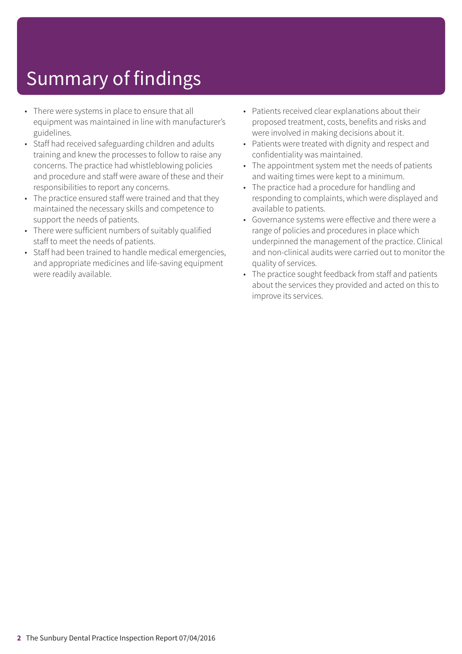# Summary of findings

- There were systems in place to ensure that all equipment was maintained in line with manufacturer's guidelines.
- Staff had received safeguarding children and adults training and knew the processes to follow to raise any concerns. The practice had whistleblowing policies and procedure and staff were aware of these and their responsibilities to report any concerns.
- The practice ensured staff were trained and that they maintained the necessary skills and competence to support the needs of patients.
- There were sufficient numbers of suitably qualified staff to meet the needs of patients.
- Staff had been trained to handle medical emergencies, and appropriate medicines and life-saving equipment were readily available.
- Patients received clear explanations about their proposed treatment, costs, benefits and risks and were involved in making decisions about it.
- Patients were treated with dignity and respect and confidentiality was maintained.
- The appointment system met the needs of patients and waiting times were kept to a minimum.
- The practice had a procedure for handling and responding to complaints, which were displayed and available to patients.
- Governance systems were effective and there were a range of policies and procedures in place which underpinned the management of the practice. Clinical and non-clinical audits were carried out to monitor the quality of services.
- The practice sought feedback from staff and patients about the services they provided and acted on this to improve its services.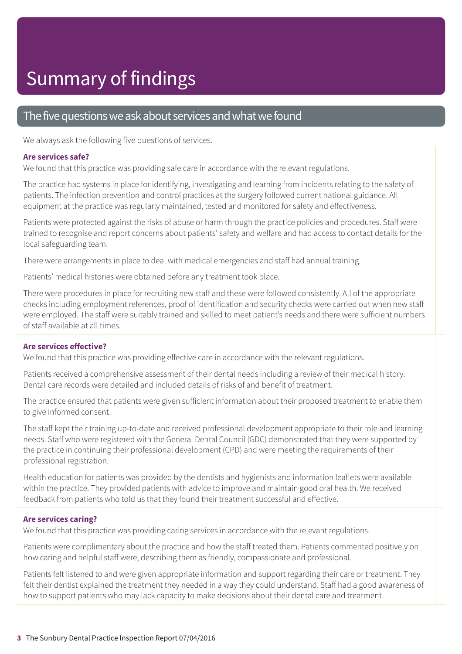### The five questions we ask about services and what we found

We always ask the following five questions of services.

#### **Are services safe?**

We found that this practice was providing safe care in accordance with the relevant regulations.

The practice had systems in place for identifying, investigating and learning from incidents relating to the safety of patients. The infection prevention and control practices at the surgery followed current national guidance. All equipment at the practice was regularly maintained, tested and monitored for safety and effectiveness.

Patients were protected against the risks of abuse or harm through the practice policies and procedures. Staff were trained to recognise and report concerns about patients' safety and welfare and had access to contact details for the local safeguarding team.

There were arrangements in place to deal with medical emergencies and staff had annual training.

Patients' medical histories were obtained before any treatment took place.

There were procedures in place for recruiting new staff and these were followed consistently. All of the appropriate checks including employment references, proof of identification and security checks were carried out when new staff were employed. The staff were suitably trained and skilled to meet patient's needs and there were sufficient numbers of staff available at all times.

#### **Are services effective?**

We found that this practice was providing effective care in accordance with the relevant regulations.

Patients received a comprehensive assessment of their dental needs including a review of their medical history. Dental care records were detailed and included details of risks of and benefit of treatment.

The practice ensured that patients were given sufficient information about their proposed treatment to enable them to give informed consent.

The staff kept their training up-to-date and received professional development appropriate to their role and learning needs. Staff who were registered with the General Dental Council (GDC) demonstrated that they were supported by the practice in continuing their professional development (CPD) and were meeting the requirements of their professional registration.

Health education for patients was provided by the dentists and hygienists and information leaflets were available within the practice. They provided patients with advice to improve and maintain good oral health. We received feedback from patients who told us that they found their treatment successful and effective.

#### **Are services caring?**

We found that this practice was providing caring services in accordance with the relevant regulations.

Patients were complimentary about the practice and how the staff treated them. Patients commented positively on how caring and helpful staff were, describing them as friendly, compassionate and professional.

Patients felt listened to and were given appropriate information and support regarding their care or treatment. They felt their dentist explained the treatment they needed in a way they could understand. Staff had a good awareness of how to support patients who may lack capacity to make decisions about their dental care and treatment.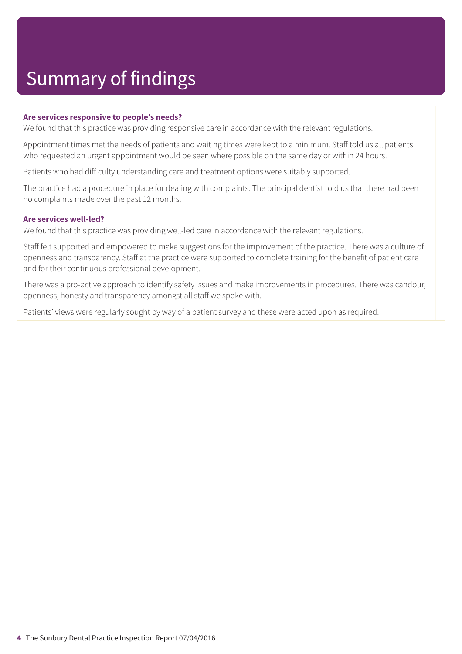#### **Are services responsive to people's needs?**

We found that this practice was providing responsive care in accordance with the relevant regulations.

Appointment times met the needs of patients and waiting times were kept to a minimum. Staff told us all patients who requested an urgent appointment would be seen where possible on the same day or within 24 hours.

Patients who had difficulty understanding care and treatment options were suitably supported.

The practice had a procedure in place for dealing with complaints. The principal dentist told us that there had been no complaints made over the past 12 months.

#### **Are services well-led?**

We found that this practice was providing well-led care in accordance with the relevant regulations.

Staff felt supported and empowered to make suggestions for the improvement of the practice. There was a culture of openness and transparency. Staff at the practice were supported to complete training for the benefit of patient care and for their continuous professional development.

There was a pro-active approach to identify safety issues and make improvements in procedures. There was candour, openness, honesty and transparency amongst all staff we spoke with.

Patients' views were regularly sought by way of a patient survey and these were acted upon as required.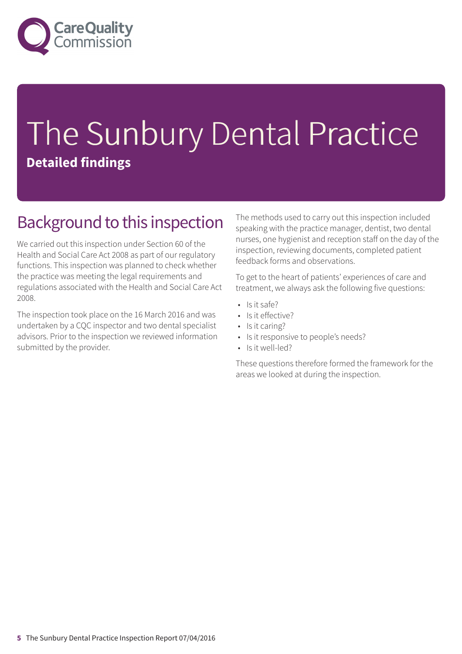

# The Sunbury Dental Practice **Detailed findings**

## Background to this inspection

We carried out this inspection under Section 60 of the Health and Social Care Act 2008 as part of our regulatory functions. This inspection was planned to check whether the practice was meeting the legal requirements and regulations associated with the Health and Social Care Act 2008.

The inspection took place on the 16 March 2016 and was undertaken by a CQC inspector and two dental specialist advisors. Prior to the inspection we reviewed information submitted by the provider.

The methods used to carry out this inspection included speaking with the practice manager, dentist, two dental nurses, one hygienist and reception staff on the day of the inspection, reviewing documents, completed patient feedback forms and observations.

To get to the heart of patients' experiences of care and treatment, we always ask the following five questions:

- Is it safe?
- Is it effective?
- Is it caring?
- Is it responsive to people's needs?
- Is it well-led?

These questions therefore formed the framework for the areas we looked at during the inspection.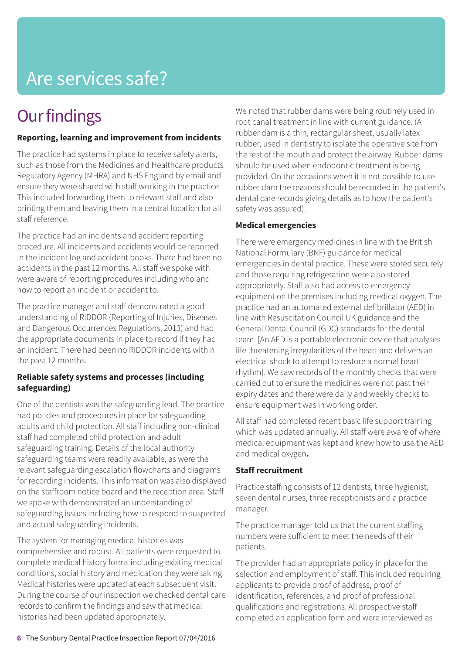# Are services safe?

# **Our findings**

### **Reporting, learning and improvement from incidents**

The practice had systems in place to receive safety alerts, such as those from the Medicines and Healthcare products Regulatory Agency (MHRA) and NHS England by email and ensure they were shared with staff working in the practice. This included forwarding them to relevant staff and also printing them and leaving them in a central location for all staff reference.

The practice had an incidents and accident reporting procedure. All incidents and accidents would be reported in the incident log and accident books. There had been no accidents in the past 12 months. All staff we spoke with were aware of reporting procedures including who and how to report an incident or accident to.

The practice manager and staff demonstrated a good understanding of RIDDOR (Reporting of Injuries, Diseases and Dangerous Occurrences Regulations, 2013) and had the appropriate documents in place to record if they had an incident. There had been no RIDDOR incidents within the past 12 months.

### **Reliable safety systems and processes (including safeguarding)**

One of the dentists was the safeguarding lead. The practice had policies and procedures in place for safeguarding adults and child protection. All staff including non-clinical staff had completed child protection and adult safeguarding training. Details of the local authority safeguarding teams were readily available, as were the relevant safeguarding escalation flowcharts and diagrams for recording incidents. This information was also displayed on the staffroom notice board and the reception area. Staff we spoke with demonstrated an understanding of safeguarding issues including how to respond to suspected and actual safeguarding incidents.

The system for managing medical histories was comprehensive and robust. All patients were requested to complete medical history forms including existing medical conditions, social history and medication they were taking. Medical histories were updated at each subsequent visit. During the course of our inspection we checked dental care records to confirm the findings and saw that medical histories had been updated appropriately.

We noted that rubber dams were being routinely used in root canal treatment in line with current guidance. (A rubber dam is a thin, rectangular sheet, usually latex rubber, used in dentistry to isolate the operative site from the rest of the mouth and protect the airway. Rubber dams should be used when endodontic treatment is being provided. On the occasions when it is not possible to use rubber dam the reasons should be recorded in the patient's dental care records giving details as to how the patient's safety was assured).

### **Medical emergencies**

There were emergency medicines in line with the British National Formulary (BNF) guidance for medical emergencies in dental practice. These were stored securely and those requiring refrigeration were also stored appropriately. Staff also had access to emergency equipment on the premises including medical oxygen. The practice had an automated external defibrillator (AED) in line with Resuscitation Council UK guidance and the General Dental Council (GDC) standards for the dental team. [An AED is a portable electronic device that analyses life threatening irregularities of the heart and delivers an electrical shock to attempt to restore a normal heart rhythm]. We saw records of the monthly checks that were carried out to ensure the medicines were not past their expiry dates and there were daily and weekly checks to ensure equipment was in working order.

All staff had completed recent basic life support training which was updated annually. All staff were aware of where medical equipment was kept and knew how to use the AED and medical oxygen**.**

### **Staff recruitment**

Practice staffing consists of 12 dentists, three hygienist, seven dental nurses, three receptionists and a practice manager.

The practice manager told us that the current staffing numbers were sufficient to meet the needs of their patients.

The provider had an appropriate policy in place for the selection and employment of staff. This included requiring applicants to provide proof of address, proof of identification, references, and proof of professional qualifications and registrations. All prospective staff completed an application form and were interviewed as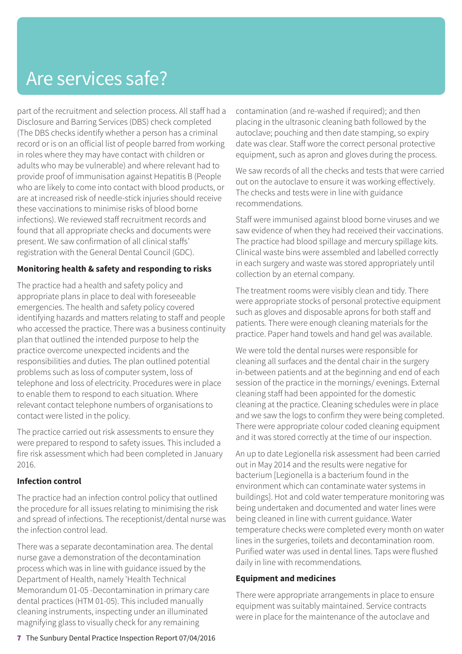# Are services safe?

part of the recruitment and selection process. All staff had a Disclosure and Barring Services (DBS) check completed (The DBS checks identify whether a person has a criminal record or is on an official list of people barred from working in roles where they may have contact with children or adults who may be vulnerable) and where relevant had to provide proof of immunisation against Hepatitis B (People who are likely to come into contact with blood products, or are at increased risk of needle-stick injuries should receive these vaccinations to minimise risks of blood borne infections). We reviewed staff recruitment records and found that all appropriate checks and documents were present. We saw confirmation of all clinical staffs' registration with the General Dental Council (GDC).

### **Monitoring health & safety and responding to risks**

The practice had a health and safety policy and appropriate plans in place to deal with foreseeable emergencies. The health and safety policy covered identifying hazards and matters relating to staff and people who accessed the practice. There was a business continuity plan that outlined the intended purpose to help the practice overcome unexpected incidents and the responsibilities and duties. The plan outlined potential problems such as loss of computer system, loss of telephone and loss of electricity. Procedures were in place to enable them to respond to each situation. Where relevant contact telephone numbers of organisations to contact were listed in the policy.

The practice carried out risk assessments to ensure they were prepared to respond to safety issues. This included a fire risk assessment which had been completed in January 2016.

### **Infection control**

The practice had an infection control policy that outlined the procedure for all issues relating to minimising the risk and spread of infections. The receptionist/dental nurse was the infection control lead.

There was a separate decontamination area. The dental nurse gave a demonstration of the decontamination process which was in line with guidance issued by the Department of Health, namely 'Health Technical Memorandum 01-05 -Decontamination in primary care dental practices (HTM 01-05). This included manually cleaning instruments, inspecting under an illuminated magnifying glass to visually check for any remaining

**7** The Sunbury Dental Practice Inspection Report 07/04/2016

contamination (and re-washed if required); and then placing in the ultrasonic cleaning bath followed by the autoclave; pouching and then date stamping, so expiry date was clear. Staff wore the correct personal protective equipment, such as apron and gloves during the process.

We saw records of all the checks and tests that were carried out on the autoclave to ensure it was working effectively. The checks and tests were in line with guidance recommendations.

Staff were immunised against blood borne viruses and we saw evidence of when they had received their vaccinations. The practice had blood spillage and mercury spillage kits. Clinical waste bins were assembled and labelled correctly in each surgery and waste was stored appropriately until collection by an eternal company.

The treatment rooms were visibly clean and tidy. There were appropriate stocks of personal protective equipment such as gloves and disposable aprons for both staff and patients. There were enough cleaning materials for the practice. Paper hand towels and hand gel was available.

We were told the dental nurses were responsible for cleaning all surfaces and the dental chair in the surgery in-between patients and at the beginning and end of each session of the practice in the mornings/ evenings. External cleaning staff had been appointed for the domestic cleaning at the practice. Cleaning schedules were in place and we saw the logs to confirm they were being completed. There were appropriate colour coded cleaning equipment and it was stored correctly at the time of our inspection.

An up to date Legionella risk assessment had been carried out in May 2014 and the results were negative for bacterium [Legionella is a bacterium found in the environment which can contaminate water systems in buildings]. Hot and cold water temperature monitoring was being undertaken and documented and water lines were being cleaned in line with current guidance. Water temperature checks were completed every month on water lines in the surgeries, toilets and decontamination room. Purified water was used in dental lines. Taps were flushed daily in line with recommendations.

### **Equipment and medicines**

There were appropriate arrangements in place to ensure equipment was suitably maintained. Service contracts were in place for the maintenance of the autoclave and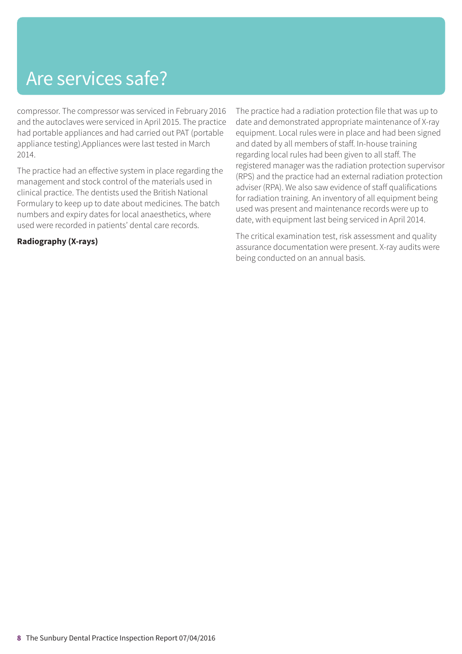# Are services safe?

compressor. The compressor was serviced in February 2016 and the autoclaves were serviced in April 2015. The practice had portable appliances and had carried out PAT (portable appliance testing).Appliances were last tested in March 2014.

The practice had an effective system in place regarding the management and stock control of the materials used in clinical practice. The dentists used the British National Formulary to keep up to date about medicines. The batch numbers and expiry dates for local anaesthetics, where used were recorded in patients' dental care records.

### **Radiography (X-rays)**

The practice had a radiation protection file that was up to date and demonstrated appropriate maintenance of X-ray equipment. Local rules were in place and had been signed and dated by all members of staff. In-house training regarding local rules had been given to all staff. The registered manager was the radiation protection supervisor (RPS) and the practice had an external radiation protection adviser (RPA). We also saw evidence of staff qualifications for radiation training. An inventory of all equipment being used was present and maintenance records were up to date, with equipment last being serviced in April 2014.

The critical examination test, risk assessment and quality assurance documentation were present. X-ray audits were being conducted on an annual basis.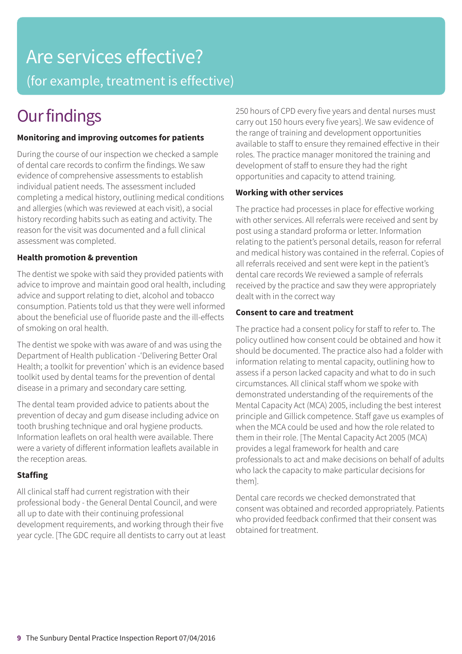# Are services effective? (for example, treatment is effective)

# **Our findings**

### **Monitoring and improving outcomes for patients**

During the course of our inspection we checked a sample of dental care records to confirm the findings. We saw evidence of comprehensive assessments to establish individual patient needs. The assessment included completing a medical history, outlining medical conditions and allergies (which was reviewed at each visit), a social history recording habits such as eating and activity. The reason for the visit was documented and a full clinical assessment was completed.

### **Health promotion & prevention**

The dentist we spoke with said they provided patients with advice to improve and maintain good oral health, including advice and support relating to diet, alcohol and tobacco consumption. Patients told us that they were well informed about the beneficial use of fluoride paste and the ill-effects of smoking on oral health.

The dentist we spoke with was aware of and was using the Department of Health publication -'Delivering Better Oral Health; a toolkit for prevention' which is an evidence based toolkit used by dental teams for the prevention of dental disease in a primary and secondary care setting.

The dental team provided advice to patients about the prevention of decay and gum disease including advice on tooth brushing technique and oral hygiene products. Information leaflets on oral health were available. There were a variety of different information leaflets available in the reception areas.

### **Staffing**

All clinical staff had current registration with their professional body - the General Dental Council, and were all up to date with their continuing professional development requirements, and working through their five year cycle. [The GDC require all dentists to carry out at least 250 hours of CPD every five years and dental nurses must carry out 150 hours every five years]. We saw evidence of the range of training and development opportunities available to staff to ensure they remained effective in their roles. The practice manager monitored the training and development of staff to ensure they had the right opportunities and capacity to attend training.

### **Working with other services**

The practice had processes in place for effective working with other services. All referrals were received and sent by post using a standard proforma or letter. Information relating to the patient's personal details, reason for referral and medical history was contained in the referral. Copies of all referrals received and sent were kept in the patient's dental care records We reviewed a sample of referrals received by the practice and saw they were appropriately dealt with in the correct way

### **Consent to care and treatment**

The practice had a consent policy for staff to refer to. The policy outlined how consent could be obtained and how it should be documented. The practice also had a folder with information relating to mental capacity, outlining how to assess if a person lacked capacity and what to do in such circumstances. All clinical staff whom we spoke with demonstrated understanding of the requirements of the Mental Capacity Act (MCA) 2005, including the best interest principle and Gillick competence. Staff gave us examples of when the MCA could be used and how the role related to them in their role. [The Mental Capacity Act 2005 (MCA) provides a legal framework for health and care professionals to act and make decisions on behalf of adults who lack the capacity to make particular decisions for them].

Dental care records we checked demonstrated that consent was obtained and recorded appropriately. Patients who provided feedback confirmed that their consent was obtained for treatment.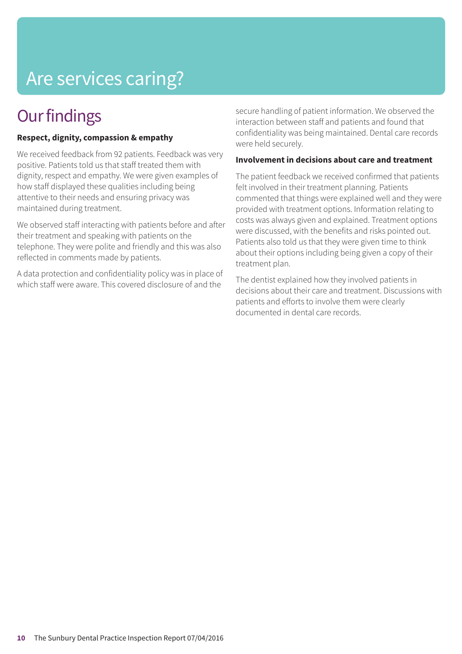# Are services caring?

# **Our findings**

### **Respect, dignity, compassion & empathy**

We received feedback from 92 patients. Feedback was very positive. Patients told us that staff treated them with dignity, respect and empathy. We were given examples of how staff displayed these qualities including being attentive to their needs and ensuring privacy was maintained during treatment.

We observed staff interacting with patients before and after their treatment and speaking with patients on the telephone. They were polite and friendly and this was also reflected in comments made by patients.

A data protection and confidentiality policy was in place of which staff were aware. This covered disclosure of and the

secure handling of patient information. We observed the interaction between staff and patients and found that confidentiality was being maintained. Dental care records were held securely.

### **Involvement in decisions about care and treatment**

The patient feedback we received confirmed that patients felt involved in their treatment planning. Patients commented that things were explained well and they were provided with treatment options. Information relating to costs was always given and explained. Treatment options were discussed, with the benefits and risks pointed out. Patients also told us that they were given time to think about their options including being given a copy of their treatment plan.

The dentist explained how they involved patients in decisions about their care and treatment. Discussions with patients and efforts to involve them were clearly documented in dental care records.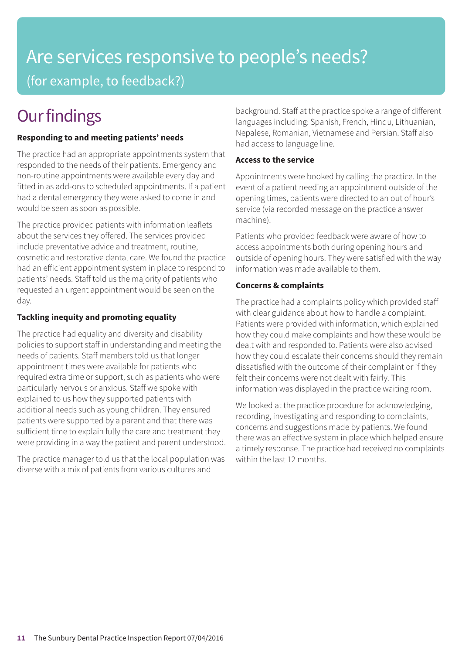# Are services responsive to people's needs? (for example, to feedback?)

# **Our findings**

### **Responding to and meeting patients' needs**

The practice had an appropriate appointments system that responded to the needs of their patients. Emergency and non-routine appointments were available every day and fitted in as add-ons to scheduled appointments. If a patient had a dental emergency they were asked to come in and would be seen as soon as possible.

The practice provided patients with information leaflets about the services they offered. The services provided include preventative advice and treatment, routine, cosmetic and restorative dental care. We found the practice had an efficient appointment system in place to respond to patients' needs. Staff told us the majority of patients who requested an urgent appointment would be seen on the day.

### **Tackling inequity and promoting equality**

The practice had equality and diversity and disability policies to support staff in understanding and meeting the needs of patients. Staff members told us that longer appointment times were available for patients who required extra time or support, such as patients who were particularly nervous or anxious. Staff we spoke with explained to us how they supported patients with additional needs such as young children. They ensured patients were supported by a parent and that there was sufficient time to explain fully the care and treatment they were providing in a way the patient and parent understood.

The practice manager told us that the local population was diverse with a mix of patients from various cultures and

background. Staff at the practice spoke a range of different languages including: Spanish, French, Hindu, Lithuanian, Nepalese, Romanian, Vietnamese and Persian. Staff also had access to language line.

### **Access to the service**

Appointments were booked by calling the practice. In the event of a patient needing an appointment outside of the opening times, patients were directed to an out of hour's service (via recorded message on the practice answer machine).

Patients who provided feedback were aware of how to access appointments both during opening hours and outside of opening hours. They were satisfied with the way information was made available to them.

### **Concerns & complaints**

The practice had a complaints policy which provided staff with clear guidance about how to handle a complaint. Patients were provided with information, which explained how they could make complaints and how these would be dealt with and responded to. Patients were also advised how they could escalate their concerns should they remain dissatisfied with the outcome of their complaint or if they felt their concerns were not dealt with fairly. This information was displayed in the practice waiting room.

We looked at the practice procedure for acknowledging, recording, investigating and responding to complaints, concerns and suggestions made by patients. We found there was an effective system in place which helped ensure a timely response. The practice had received no complaints within the last 12 months.